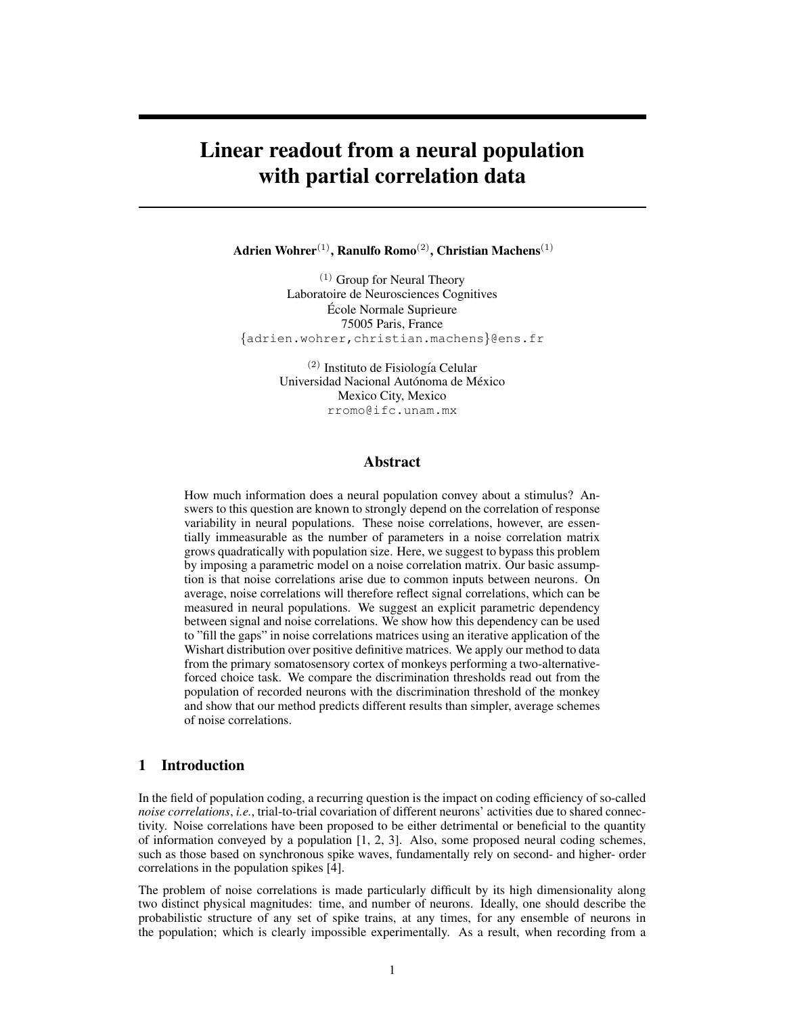# Linear readout from a neural population with partial correlation data

Adrien Wohrer<sup>(1)</sup>, Ranulfo Romo<sup>(2)</sup>, Christian Machens<sup>(1)</sup>

(1) Group for Neural Theory Laboratoire de Neurosciences Cognitives Ecole Normale Suprieure ´ 75005 Paris, France {adrien.wohrer,christian.machens}@ens.fr

> $(2)$  Instituto de Fisiología Celular Universidad Nacional Autónoma de México Mexico City, Mexico rromo@ifc.unam.mx

## Abstract

How much information does a neural population convey about a stimulus? Answers to this question are known to strongly depend on the correlation of response variability in neural populations. These noise correlations, however, are essentially immeasurable as the number of parameters in a noise correlation matrix grows quadratically with population size. Here, we suggest to bypass this problem by imposing a parametric model on a noise correlation matrix. Our basic assumption is that noise correlations arise due to common inputs between neurons. On average, noise correlations will therefore reflect signal correlations, which can be measured in neural populations. We suggest an explicit parametric dependency between signal and noise correlations. We show how this dependency can be used to "fill the gaps" in noise correlations matrices using an iterative application of the Wishart distribution over positive definitive matrices. We apply our method to data from the primary somatosensory cortex of monkeys performing a two-alternativeforced choice task. We compare the discrimination thresholds read out from the population of recorded neurons with the discrimination threshold of the monkey and show that our method predicts different results than simpler, average schemes of noise correlations.

# 1 Introduction

In the field of population coding, a recurring question is the impact on coding efficiency of so-called *noise correlations*, *i.e.*, trial-to-trial covariation of different neurons' activities due to shared connectivity. Noise correlations have been proposed to be either detrimental or beneficial to the quantity of information conveyed by a population [1, 2, 3]. Also, some proposed neural coding schemes, such as those based on synchronous spike waves, fundamentally rely on second- and higher- order correlations in the population spikes [4].

The problem of noise correlations is made particularly difficult by its high dimensionality along two distinct physical magnitudes: time, and number of neurons. Ideally, one should describe the probabilistic structure of any set of spike trains, at any times, for any ensemble of neurons in the population; which is clearly impossible experimentally. As a result, when recording from a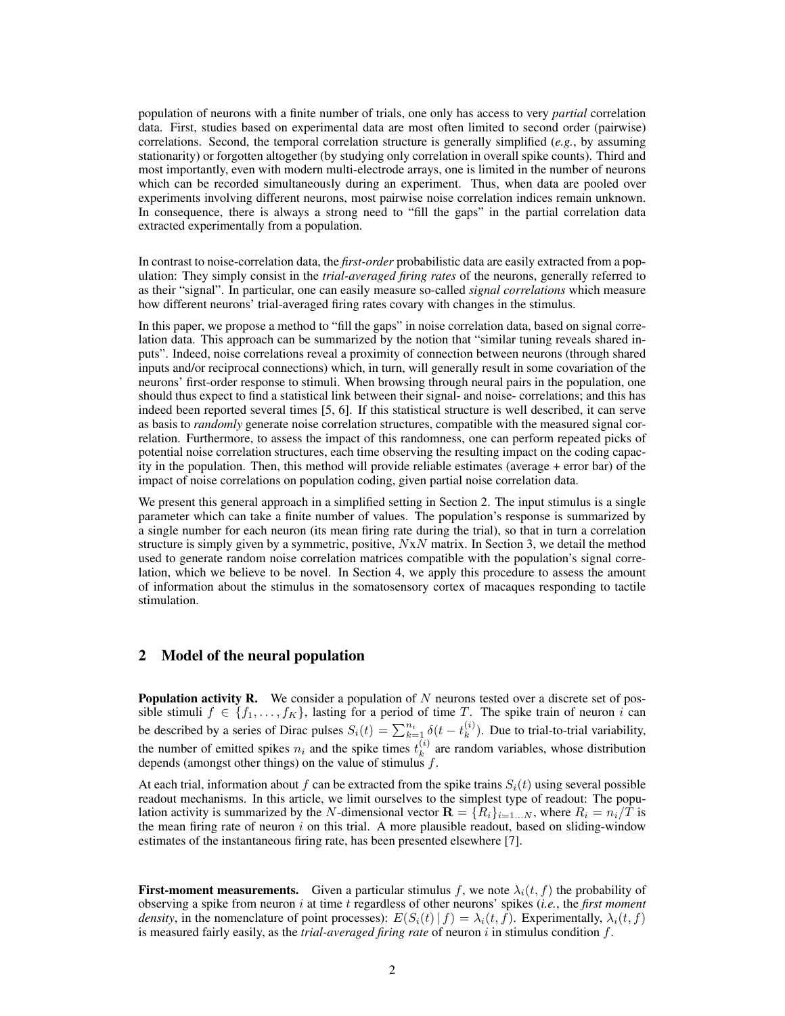population of neurons with a finite number of trials, one only has access to very *partial* correlation data. First, studies based on experimental data are most often limited to second order (pairwise) correlations. Second, the temporal correlation structure is generally simplified (*e.g.*, by assuming stationarity) or forgotten altogether (by studying only correlation in overall spike counts). Third and most importantly, even with modern multi-electrode arrays, one is limited in the number of neurons which can be recorded simultaneously during an experiment. Thus, when data are pooled over experiments involving different neurons, most pairwise noise correlation indices remain unknown. In consequence, there is always a strong need to "fill the gaps" in the partial correlation data extracted experimentally from a population.

In contrast to noise-correlation data, the *first-order* probabilistic data are easily extracted from a population: They simply consist in the *trial-averaged firing rates* of the neurons, generally referred to as their "signal". In particular, one can easily measure so-called *signal correlations* which measure how different neurons' trial-averaged firing rates covary with changes in the stimulus.

In this paper, we propose a method to "fill the gaps" in noise correlation data, based on signal correlation data. This approach can be summarized by the notion that "similar tuning reveals shared inputs". Indeed, noise correlations reveal a proximity of connection between neurons (through shared inputs and/or reciprocal connections) which, in turn, will generally result in some covariation of the neurons' first-order response to stimuli. When browsing through neural pairs in the population, one should thus expect to find a statistical link between their signal- and noise- correlations; and this has indeed been reported several times [5, 6]. If this statistical structure is well described, it can serve as basis to *randomly* generate noise correlation structures, compatible with the measured signal correlation. Furthermore, to assess the impact of this randomness, one can perform repeated picks of potential noise correlation structures, each time observing the resulting impact on the coding capacity in the population. Then, this method will provide reliable estimates (average + error bar) of the impact of noise correlations on population coding, given partial noise correlation data.

We present this general approach in a simplified setting in Section 2. The input stimulus is a single parameter which can take a finite number of values. The population's response is summarized by a single number for each neuron (its mean firing rate during the trial), so that in turn a correlation structure is simply given by a symmetric, positive,  $NxN$  matrix. In Section 3, we detail the method used to generate random noise correlation matrices compatible with the population's signal correlation, which we believe to be novel. In Section 4, we apply this procedure to assess the amount of information about the stimulus in the somatosensory cortex of macaques responding to tactile stimulation.

## 2 Model of the neural population

**Population activity R.** We consider a population of  $N$  neurons tested over a discrete set of possible stimuli  $f \in \{f_1, \ldots, f_K\}$ , lasting for a period of time T. The spike train of neuron i can be described by a series of Dirac pulses  $S_i(t) = \sum_{k=1}^{n_i} \delta(t - t_k^{(i)})$  $\binom{v}{k}$ . Due to trial-to-trial variability, the number of emitted spikes  $n_i$  and the spike times  $t_k^{(i)}$  $k<sup>(i)</sup>$  are random variables, whose distribution depends (amongst other things) on the value of stimulus  $f$ .

At each trial, information about f can be extracted from the spike trains  $S_i(t)$  using several possible readout mechanisms. In this article, we limit ourselves to the simplest type of readout: The population activity is summarized by the N-dimensional vector  $\mathbf{R} = \{R_i\}_{i=1...N}$ , where  $R_i = n_i/T$  is the mean firing rate of neuron  $i$  on this trial. A more plausible readout, based on sliding-window estimates of the instantaneous firing rate, has been presented elsewhere [7].

**First-moment measurements.** Given a particular stimulus f, we note  $\lambda_i(t, f)$  the probability of observing a spike from neuron i at time t regardless of other neurons' spikes (*i.e.*, the *first moment density*, in the nomenclature of point processes):  $E(S_i(t)|f) = \lambda_i(t, f)$ . Experimentally,  $\lambda_i(t, f)$ is measured fairly easily, as the *trial-averaged firing rate* of neuron i in stimulus condition f.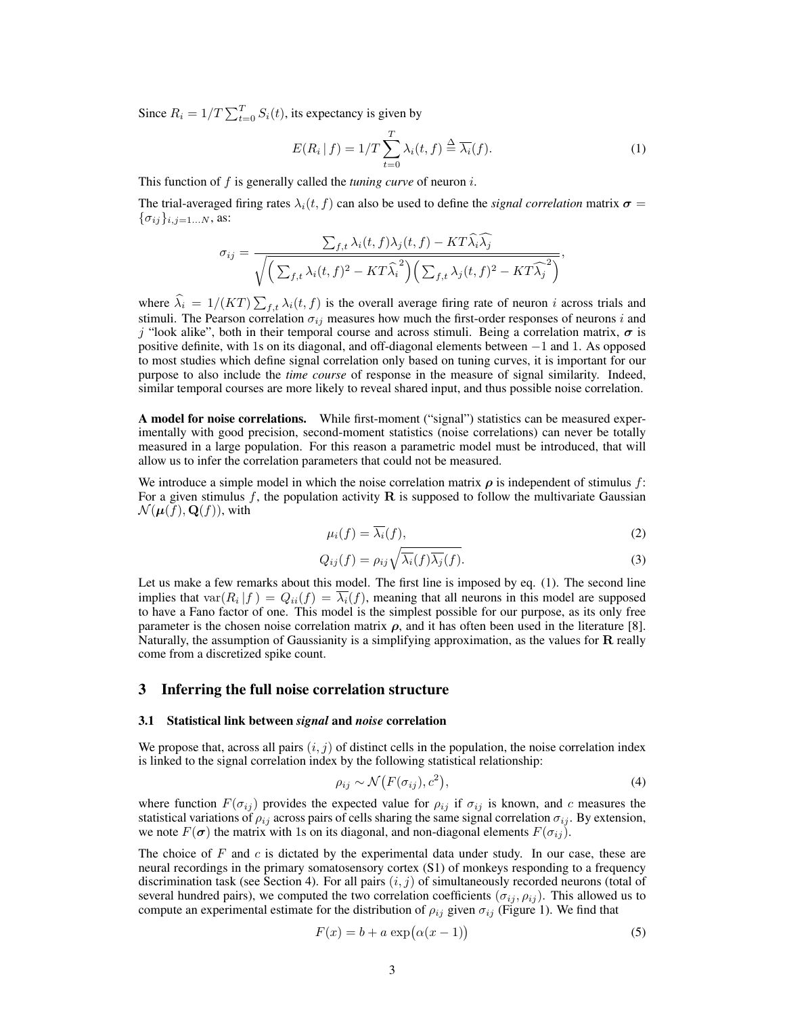Since  $R_i = 1/T \sum_{t=0}^{T} S_i(t)$ , its expectancy is given by

$$
E(R_i | f) = 1/T \sum_{t=0}^{T} \lambda_i(t, f) \stackrel{\Delta}{=} \overline{\lambda_i}(f).
$$
 (1)

This function of f is generally called the *tuning curve* of neuron i.

The trial-averaged firing rates  $\lambda_i(t, f)$  can also be used to define the *signal correlation* matrix  $\sigma =$  $\{\sigma_{ij}\}_{i,j=1...N}$ , as:

$$
\sigma_{ij} = \frac{\sum_{f,t} \lambda_i(t,f)\lambda_j(t,f) - KT\lambda_i\lambda_j}{\sqrt{\left(\sum_{f,t} \lambda_i(t,f)^2 - KT\widehat{\lambda_i}^2\right)\left(\sum_{f,t} \lambda_j(t,f)^2 - KT\widehat{\lambda_j}^2\right)}},
$$

where  $\lambda_i = 1/(KT) \sum_{f,t} \lambda_i(t, f)$  is the overall average firing rate of neuron i across trials and stimuli. The Pearson correlation  $\sigma_{ij}$  measures how much the first-order responses of neurons i and j "look alike", both in their temporal course and across stimuli. Being a correlation matrix,  $\sigma$  is positive definite, with 1s on its diagonal, and off-diagonal elements between −1 and 1. As opposed to most studies which define signal correlation only based on tuning curves, it is important for our purpose to also include the *time course* of response in the measure of signal similarity. Indeed, similar temporal courses are more likely to reveal shared input, and thus possible noise correlation.

A model for noise correlations. While first-moment ("signal") statistics can be measured experimentally with good precision, second-moment statistics (noise correlations) can never be totally measured in a large population. For this reason a parametric model must be introduced, that will allow us to infer the correlation parameters that could not be measured.

We introduce a simple model in which the noise correlation matrix  $\rho$  is independent of stimulus f: For a given stimulus f, the population activity  $\bf{R}$  is supposed to follow the multivariate Gaussian  $\mathcal{N}(\boldsymbol{\mu}(f),\mathbf{Q}(f))$ , with

$$
\mu_i(f) = \overline{\lambda_i}(f),\tag{2}
$$

$$
Q_{ij}(f) = \rho_{ij} \sqrt{\overline{\lambda_i}(f)\overline{\lambda_j}(f)}.
$$
\n(3)

Let us make a few remarks about this model. The first line is imposed by eq. (1). The second line implies that  $var(R_i | f) = Q_{ii}(f) = \lambda_i(f)$ , meaning that all neurons in this model are supposed to have a Fano factor of one. This model is the simplest possible for our purpose, as its only free parameter is the chosen noise correlation matrix  $\rho$ , and it has often been used in the literature [8]. Naturally, the assumption of Gaussianity is a simplifying approximation, as the values for  $R$  really come from a discretized spike count.

### 3 Inferring the full noise correlation structure

#### 3.1 Statistical link between *signal* and *noise* correlation

We propose that, across all pairs  $(i, j)$  of distinct cells in the population, the noise correlation index is linked to the signal correlation index by the following statistical relationship:

$$
\rho_{ij} \sim \mathcal{N}\big(F(\sigma_{ij}), c^2\big),\tag{4}
$$

where function  $F(\sigma_{ij})$  provides the expected value for  $\rho_{ij}$  if  $\sigma_{ij}$  is known, and c measures the statistical variations of  $\rho_{ij}$  across pairs of cells sharing the same signal correlation  $\sigma_{ij}$ . By extension, we note  $F(\sigma)$  the matrix with 1s on its diagonal, and non-diagonal elements  $F(\sigma_{ij})$ .

The choice of  $F$  and  $c$  is dictated by the experimental data under study. In our case, these are neural recordings in the primary somatosensory cortex (S1) of monkeys responding to a frequency discrimination task (see Section 4). For all pairs  $(i, j)$  of simultaneously recorded neurons (total of several hundred pairs), we computed the two correlation coefficients  $(\sigma_{ij}, \rho_{ij})$ . This allowed us to compute an experimental estimate for the distribution of  $\rho_{ij}$  given  $\sigma_{ij}$  (Figure 1). We find that

$$
F(x) = b + a \exp(\alpha(x - 1))
$$
\n(5)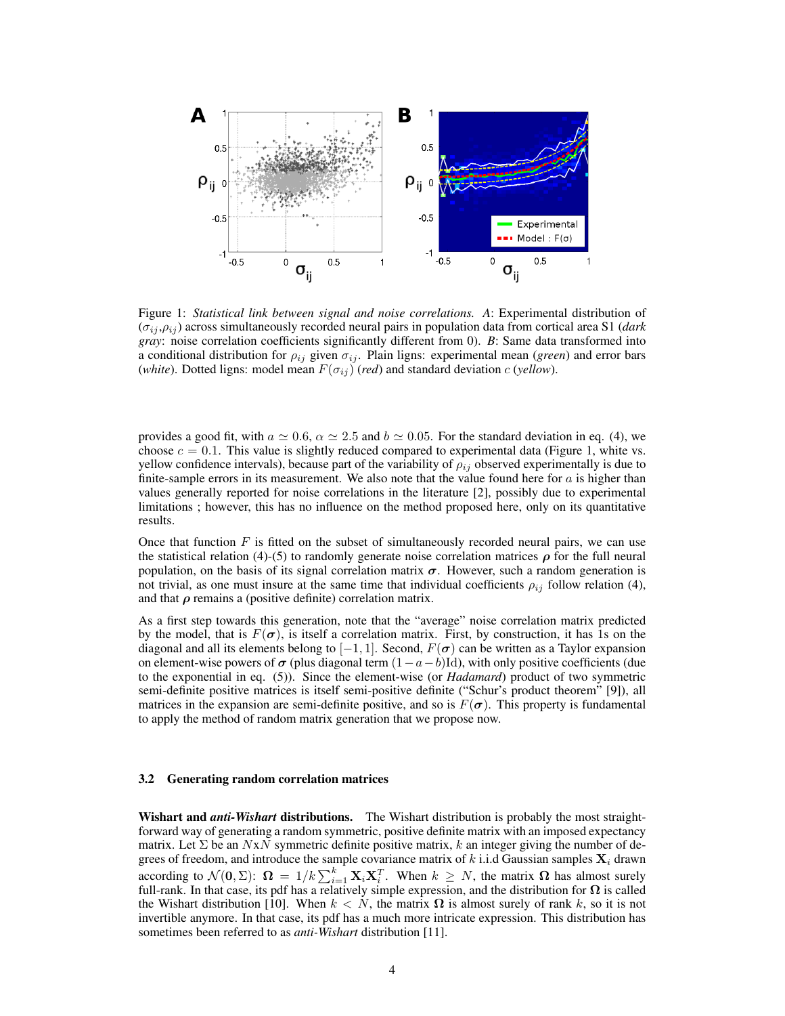

Figure 1: *Statistical link between signal and noise correlations. A*: Experimental distribution of  $(\sigma_{ij}, \rho_{ij})$  across simultaneously recorded neural pairs in population data from cortical area S1 (*dark gray*: noise correlation coefficients significantly different from 0). *B*: Same data transformed into a conditional distribution for  $\rho_{ij}$  given  $\sigma_{ij}$ . Plain ligns: experimental mean (*green*) and error bars (*white*). Dotted ligns: model mean  $F(\sigma_{ij})$  (*red*) and standard deviation c (*yellow*).

provides a good fit, with  $a \approx 0.6$ ,  $\alpha \approx 2.5$  and  $b \approx 0.05$ . For the standard deviation in eq. (4), we choose  $c = 0.1$ . This value is slightly reduced compared to experimental data (Figure 1, white vs. yellow confidence intervals), because part of the variability of  $\rho_{ij}$  observed experimentally is due to finite-sample errors in its measurement. We also note that the value found here for  $a$  is higher than values generally reported for noise correlations in the literature [2], possibly due to experimental limitations ; however, this has no influence on the method proposed here, only on its quantitative results.

Once that function  $F$  is fitted on the subset of simultaneously recorded neural pairs, we can use the statistical relation (4)-(5) to randomly generate noise correlation matrices  $\rho$  for the full neural population, on the basis of its signal correlation matrix  $\sigma$ . However, such a random generation is not trivial, as one must insure at the same time that individual coefficients  $\rho_{ij}$  follow relation (4), and that  $\rho$  remains a (positive definite) correlation matrix.

As a first step towards this generation, note that the "average" noise correlation matrix predicted by the model, that is  $F(\sigma)$ , is itself a correlation matrix. First, by construction, it has 1s on the diagonal and all its elements belong to  $[-1, 1]$ . Second,  $F(\sigma)$  can be written as a Taylor expansion on element-wise powers of  $\sigma$  (plus diagonal term  $(1-a-b)$ Id), with only positive coefficients (due to the exponential in eq. (5)). Since the element-wise (or *Hadamard*) product of two symmetric semi-definite positive matrices is itself semi-positive definite ("Schur's product theorem" [9]), all matrices in the expansion are semi-definite positive, and so is  $F(\sigma)$ . This property is fundamental to apply the method of random matrix generation that we propose now.

#### 3.2 Generating random correlation matrices

Wishart and *anti-Wishart* distributions. The Wishart distribution is probably the most straightforward way of generating a random symmetric, positive definite matrix with an imposed expectancy matrix. Let  $\Sigma$  be an  $NxN$  symmetric definite positive matrix, k an integer giving the number of degrees of freedom, and introduce the sample covariance matrix of k i.i.d Gaussian samples  $\mathbf{X}_i$  drawn according to  $\mathcal{N}(\mathbf{0}, \Sigma)$ :  $\mathbf{\Omega} = 1/k \sum_{i=1}^{k} \mathbf{X}_i \mathbf{X}_i^T$ . When  $k \geq N$ , the matrix  $\mathbf{\Omega}$  has almost surely full-rank. In that case, its pdf has a relatively simple expression, and the distribution for  $\Omega$  is called the Wishart distribution [10]. When  $k < N$ , the matrix  $\Omega$  is almost surely of rank k, so it is not invertible anymore. In that case, its pdf has a much more intricate expression. This distribution has sometimes been referred to as *anti-Wishart* distribution [11].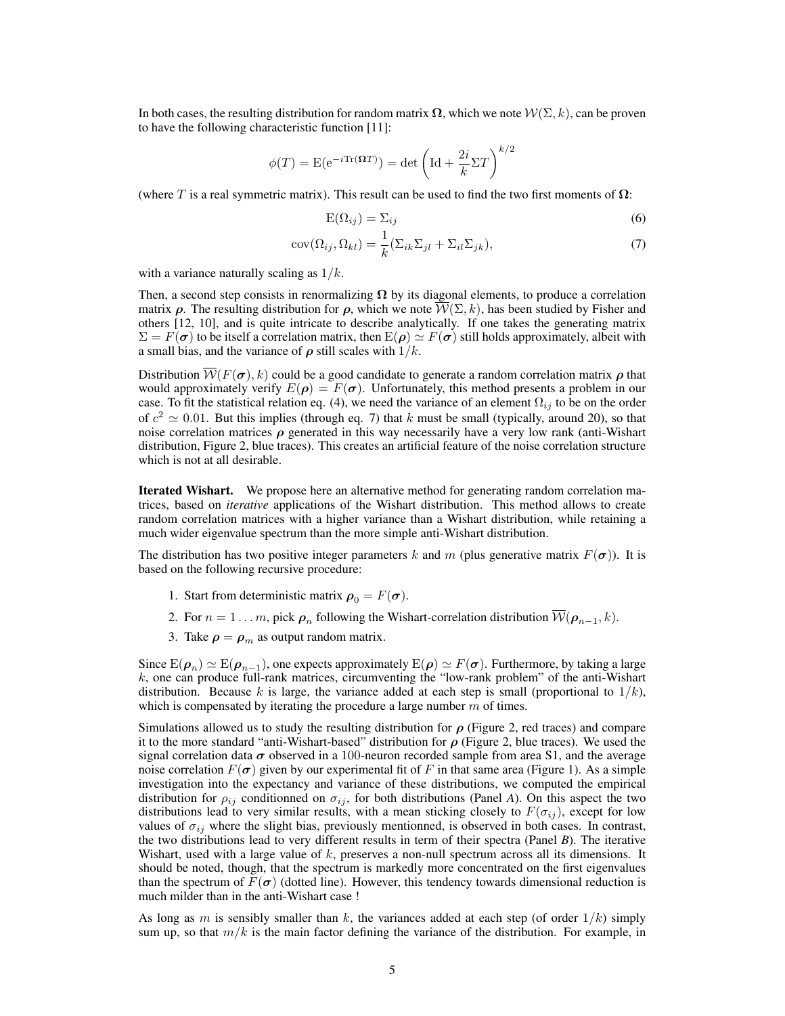In both cases, the resulting distribution for random matrix  $\Omega$ , which we note  $\mathcal{W}(\Sigma, k)$ , can be proven to have the following characteristic function [11]:

$$
\phi(T) = \mathbf{E}(\mathrm{e}^{-i\mathrm{Tr}(\pmb{\Omega}T)}) = \det\left(\mathrm{Id} + \frac{2i}{k}\Sigma T\right)^{k/2}
$$

(where T is a real symmetric matrix). This result can be used to find the two first moments of  $\Omega$ :

$$
E(\Omega_{ij}) = \Sigma_{ij} \tag{6}
$$

$$
cov(\Omega_{ij}, \Omega_{kl}) = \frac{1}{k} (\Sigma_{ik} \Sigma_{jl} + \Sigma_{il} \Sigma_{jk}),
$$
\n(7)

with a variance naturally scaling as  $1/k$ .

Then, a second step consists in renormalizing  $\Omega$  by its diagonal elements, to produce a correlation matrix  $\rho$ . The resulting distribution for  $\rho$ , which we note  $\overline{\mathcal{W}}(\Sigma, k)$ , has been studied by Fisher and others [12, 10], and is quite intricate to describe analytically. If one takes the generating matrix  $\Sigma = F(\sigma)$  to be itself a correlation matrix, then  $E(\rho) \simeq F(\sigma)$  still holds approximately, albeit with a small bias, and the variance of  $\rho$  still scales with  $1/k$ .

Distribution  $W(F(\sigma), k)$  could be a good candidate to generate a random correlation matrix  $\rho$  that would approximately verify  $E(\rho) = F(\sigma)$ . Unfortunately, this method presents a problem in our case. To fit the statistical relation eq. (4), we need the variance of an element  $\Omega_{ij}$  to be on the order of  $c^2 \simeq 0.01$ . But this implies (through eq. 7) that k must be small (typically, around 20), so that noise correlation matrices  $\rho$  generated in this way necessarily have a very low rank (anti-Wishart distribution, Figure 2, blue traces). This creates an artificial feature of the noise correlation structure which is not at all desirable.

Iterated Wishart. We propose here an alternative method for generating random correlation matrices, based on *iterative* applications of the Wishart distribution. This method allows to create random correlation matrices with a higher variance than a Wishart distribution, while retaining a much wider eigenvalue spectrum than the more simple anti-Wishart distribution.

The distribution has two positive integer parameters k and m (plus generative matrix  $F(\sigma)$ ). It is based on the following recursive procedure:

- 1. Start from deterministic matrix  $\rho_0 = F(\sigma)$ .
- 2. For  $n = 1 \dots m$ , pick  $\rho_n$  following the Wishart-correlation distribution  $\overline{\mathcal{W}(\rho_{n-1}, k)}$ .
- 3. Take  $\rho = \rho_m$  as output random matrix.

Since  $E(\rho_n) \simeq E(\rho_{n-1})$ , one expects approximately  $E(\rho) \simeq F(\sigma)$ . Furthermore, by taking a large  $k$ , one can produce full-rank matrices, circumventing the "low-rank problem" of the anti-Wishart distribution. Because k is large, the variance added at each step is small (proportional to  $1/k$ ), which is compensated by iterating the procedure a large number  $m$  of times.

Simulations allowed us to study the resulting distribution for  $\rho$  (Figure 2, red traces) and compare it to the more standard "anti-Wishart-based" distribution for  $\rho$  (Figure 2, blue traces). We used the signal correlation data  $\sigma$  observed in a 100-neuron recorded sample from area S1, and the average noise correlation  $F(\sigma)$  given by our experimental fit of F in that same area (Figure 1). As a simple investigation into the expectancy and variance of these distributions, we computed the empirical distribution for  $\rho_{ij}$  conditionned on  $\sigma_{ij}$ , for both distributions (Panel *A*). On this aspect the two distributions lead to very similar results, with a mean sticking closely to  $F(\sigma_{ij})$ , except for low values of  $\sigma_{ij}$  where the slight bias, previously mentionned, is observed in both cases. In contrast, the two distributions lead to very different results in term of their spectra (Panel *B*). The iterative Wishart, used with a large value of  $k$ , preserves a non-null spectrum across all its dimensions. It should be noted, though, that the spectrum is markedly more concentrated on the first eigenvalues than the spectrum of  $F(\sigma)$  (dotted line). However, this tendency towards dimensional reduction is much milder than in the anti-Wishart case !

As long as m is sensibly smaller than k, the variances added at each step (of order  $1/k$ ) simply sum up, so that  $m/k$  is the main factor defining the variance of the distribution. For example, in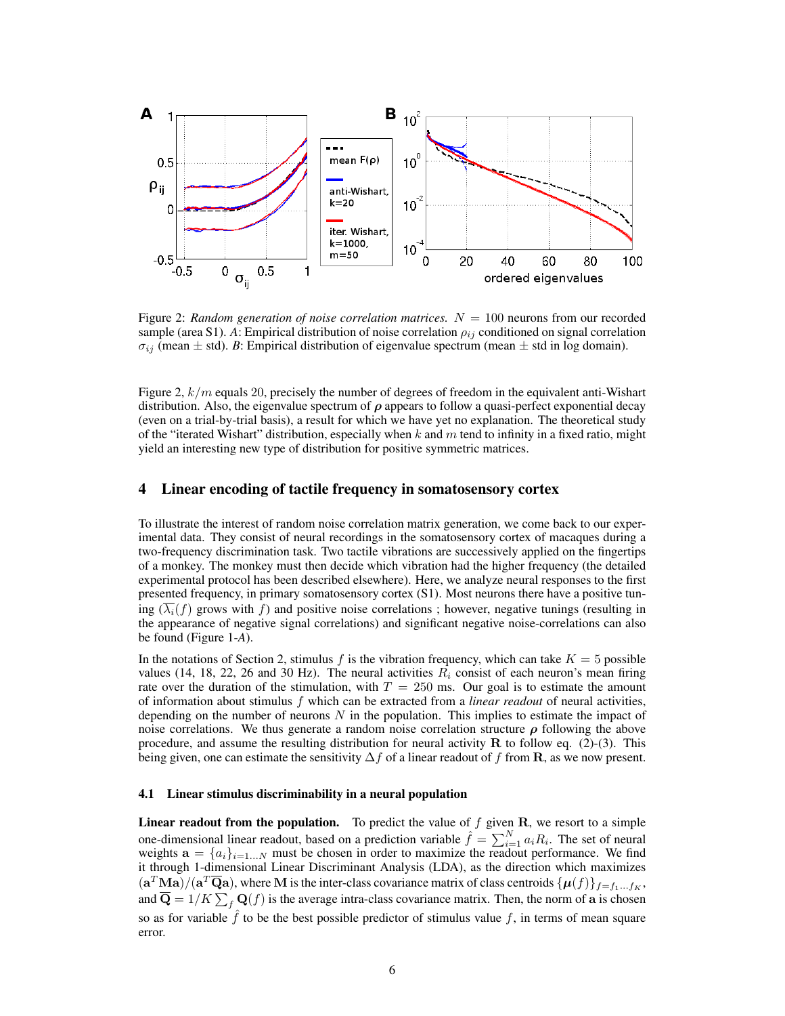

Figure 2: *Random generation of noise correlation matrices.*  $N = 100$  neurons from our recorded sample (area S1). *A*: Empirical distribution of noise correlation  $\rho_{ij}$  conditioned on signal correlation  $\sigma_{ij}$  (mean  $\pm$  std). *B*: Empirical distribution of eigenvalue spectrum (mean  $\pm$  std in log domain).

Figure 2,  $k/m$  equals 20, precisely the number of degrees of freedom in the equivalent anti-Wishart distribution. Also, the eigenvalue spectrum of  $\rho$  appears to follow a quasi-perfect exponential decay (even on a trial-by-trial basis), a result for which we have yet no explanation. The theoretical study of the "iterated Wishart" distribution, especially when  $k$  and  $m$  tend to infinity in a fixed ratio, might yield an interesting new type of distribution for positive symmetric matrices.

## 4 Linear encoding of tactile frequency in somatosensory cortex

To illustrate the interest of random noise correlation matrix generation, we come back to our experimental data. They consist of neural recordings in the somatosensory cortex of macaques during a two-frequency discrimination task. Two tactile vibrations are successively applied on the fingertips of a monkey. The monkey must then decide which vibration had the higher frequency (the detailed experimental protocol has been described elsewhere). Here, we analyze neural responses to the first presented frequency, in primary somatosensory cortex (S1). Most neurons there have a positive tuning  $(\lambda_i(f))$  grows with f) and positive noise correlations; however, negative tunings (resulting in the appearance of negative signal correlations) and significant negative noise-correlations can also be found (Figure 1-*A*).

In the notations of Section 2, stimulus f is the vibration frequency, which can take  $K = 5$  possible values (14, 18, 22, 26 and 30 Hz). The neural activities  $R_i$  consist of each neuron's mean firing rate over the duration of the stimulation, with  $T = 250$  ms. Our goal is to estimate the amount of information about stimulus f which can be extracted from a *linear readout* of neural activities, depending on the number of neurons  $N$  in the population. This implies to estimate the impact of noise correlations. We thus generate a random noise correlation structure  $\rho$  following the above procedure, and assume the resulting distribution for neural activity  $\bf{R}$  to follow eq. (2)-(3). This being given, one can estimate the sensitivity  $\Delta f$  of a linear readout of f from **R**, as we now present.

#### 4.1 Linear stimulus discriminability in a neural population

**Linear readout from the population.** To predict the value of  $f$  given  $\mathbf{R}$ , we resort to a simple one-dimensional linear readout, based on a prediction variable  $\hat{f} = \sum_{i=1}^{N} a_i R_i$ . The set of neural weights  $\mathbf{a} = \{a_i\}_{i=1...N}$  must be chosen in order to maximize the readout performance. We find it through 1-dimensional Linear Discriminant Analysis (LDA), as the direction which maximizes  $(a^T \text{Ma})/(a^T \overline{\text{Q}}a)$ , where M is the inter-class covariance matrix of class centroids  $\{\mu(f)\}_{f=f_1...f_K}$ , and  $\overline{Q} = 1/K \sum_f Q(f)$  is the average intra-class covariance matrix. Then, the norm of a is chosen so as for variable  $\hat{f}$  to be the best possible predictor of stimulus value f, in terms of mean square error.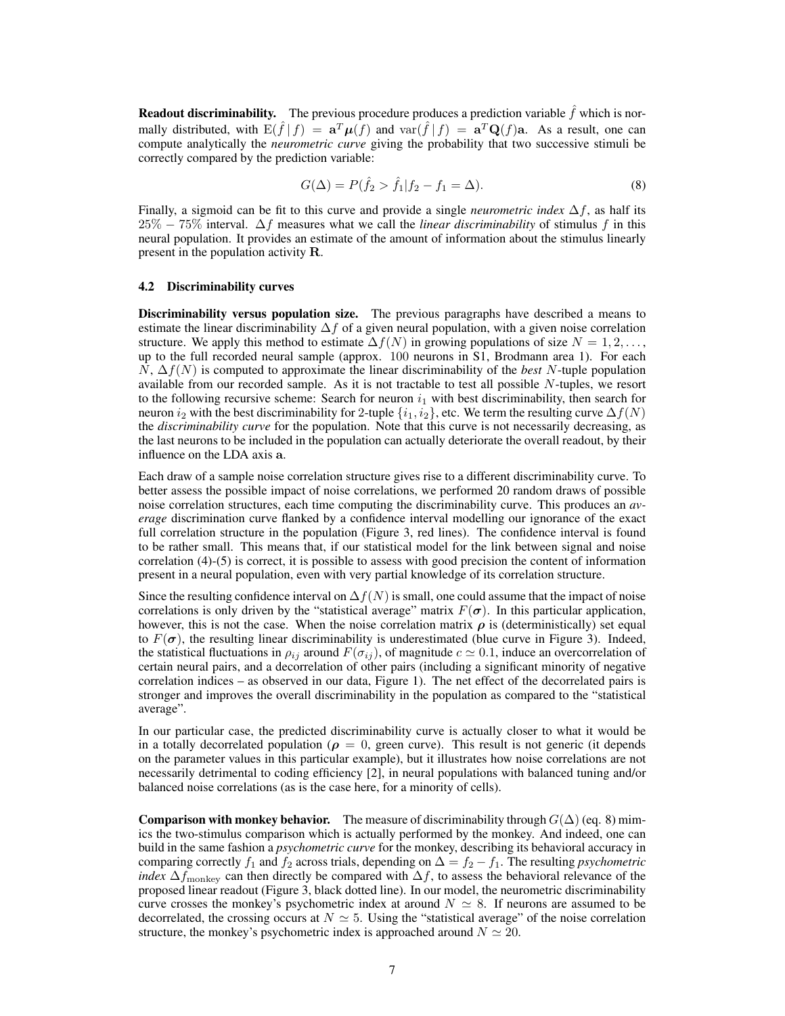**Readout discriminability.** The previous procedure produces a prediction variable  $\hat{f}$  which is normally distributed, with  $E(\hat{f} | f) = a^T \mu(f)$  and  $var(\hat{f} | f) = a^T Q(f)$ a. As a result, one can compute analytically the *neurometric curve* giving the probability that two successive stimuli be correctly compared by the prediction variable:

$$
G(\Delta) = P(\hat{f}_2 > \hat{f}_1 | f_2 - f_1 = \Delta). \tag{8}
$$

Finally, a sigmoid can be fit to this curve and provide a single *neurometric index*  $\Delta f$ , as half its 25% − 75% interval. ∆f measures what we call the *linear discriminability* of stimulus f in this neural population. It provides an estimate of the amount of information about the stimulus linearly present in the population activity R.

#### 4.2 Discriminability curves

Discriminability versus population size. The previous paragraphs have described a means to estimate the linear discriminability  $\Delta f$  of a given neural population, with a given noise correlation structure. We apply this method to estimate  $\Delta f(N)$  in growing populations of size  $N = 1, 2, \ldots$ , up to the full recorded neural sample (approx. 100 neurons in S1, Brodmann area 1). For each N, ∆f(N) is computed to approximate the linear discriminability of the *best* N-tuple population available from our recorded sample. As it is not tractable to test all possible  $N$ -tuples, we resort to the following recursive scheme: Search for neuron  $i_1$  with best discriminability, then search for neuron i<sub>2</sub> with the best discriminability for 2-tuple  $\{i_1, i_2\}$ , etc. We term the resulting curve  $\Delta f(N)$ the *discriminability curve* for the population. Note that this curve is not necessarily decreasing, as the last neurons to be included in the population can actually deteriorate the overall readout, by their influence on the LDA axis a.

Each draw of a sample noise correlation structure gives rise to a different discriminability curve. To better assess the possible impact of noise correlations, we performed 20 random draws of possible noise correlation structures, each time computing the discriminability curve. This produces an *average* discrimination curve flanked by a confidence interval modelling our ignorance of the exact full correlation structure in the population (Figure 3, red lines). The confidence interval is found to be rather small. This means that, if our statistical model for the link between signal and noise correlation (4)-(5) is correct, it is possible to assess with good precision the content of information present in a neural population, even with very partial knowledge of its correlation structure.

Since the resulting confidence interval on  $\Delta f(N)$  is small, one could assume that the impact of noise correlations is only driven by the "statistical average" matrix  $F(\sigma)$ . In this particular application, however, this is not the case. When the noise correlation matrix  $\rho$  is (deterministically) set equal to  $F(\sigma)$ , the resulting linear discriminability is underestimated (blue curve in Figure 3). Indeed, the statistical fluctuations in  $\rho_{ij}$  around  $F(\sigma_{ij})$ , of magnitude  $c \simeq 0.1$ , induce an overcorrelation of certain neural pairs, and a decorrelation of other pairs (including a significant minority of negative correlation indices – as observed in our data, Figure 1). The net effect of the decorrelated pairs is stronger and improves the overall discriminability in the population as compared to the "statistical average".

In our particular case, the predicted discriminability curve is actually closer to what it would be in a totally decorrelated population ( $\rho = 0$ , green curve). This result is not generic (it depends on the parameter values in this particular example), but it illustrates how noise correlations are not necessarily detrimental to coding efficiency [2], in neural populations with balanced tuning and/or balanced noise correlations (as is the case here, for a minority of cells).

**Comparison with monkey behavior.** The measure of discriminability through  $G(\Delta)$  (eq. 8) mimics the two-stimulus comparison which is actually performed by the monkey. And indeed, one can build in the same fashion a *psychometric curve* for the monkey, describing its behavioral accuracy in comparing correctly  $f_1$  and  $f_2$  across trials, depending on  $\Delta = f_2 - f_1$ . The resulting *psychometric index*  $\Delta f_{\text{monkey}}$  can then directly be compared with  $\Delta f$ , to assess the behavioral relevance of the proposed linear readout (Figure 3, black dotted line). In our model, the neurometric discriminability curve crosses the monkey's psychometric index at around  $N \simeq 8$ . If neurons are assumed to be decorrelated, the crossing occurs at  $N \simeq 5$ . Using the "statistical average" of the noise correlation structure, the monkey's psychometric index is approached around  $N \simeq 20$ .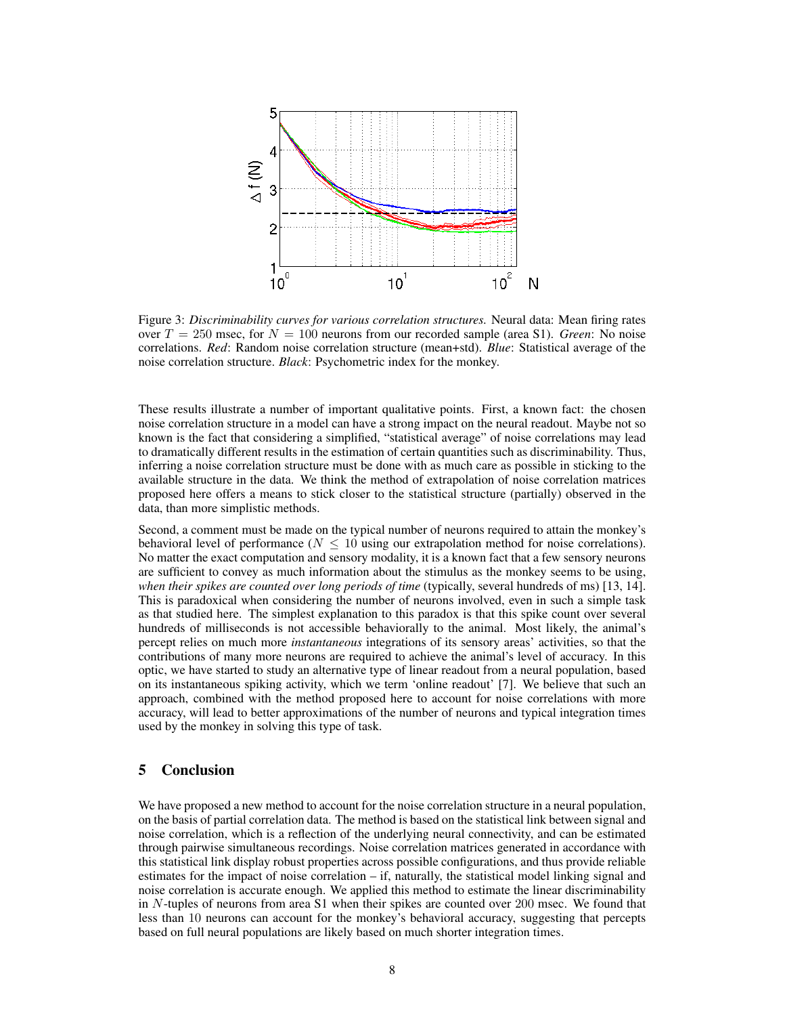

Figure 3: *Discriminability curves for various correlation structures.* Neural data: Mean firing rates over  $T = 250$  msec, for  $N = 100$  neurons from our recorded sample (area S1). *Green*: No noise correlations. *Red*: Random noise correlation structure (mean+std). *Blue*: Statistical average of the noise correlation structure. *Black*: Psychometric index for the monkey.

These results illustrate a number of important qualitative points. First, a known fact: the chosen noise correlation structure in a model can have a strong impact on the neural readout. Maybe not so known is the fact that considering a simplified, "statistical average" of noise correlations may lead to dramatically different results in the estimation of certain quantities such as discriminability. Thus, inferring a noise correlation structure must be done with as much care as possible in sticking to the available structure in the data. We think the method of extrapolation of noise correlation matrices proposed here offers a means to stick closer to the statistical structure (partially) observed in the data, than more simplistic methods.

Second, a comment must be made on the typical number of neurons required to attain the monkey's behavioral level of performance ( $N \leq 10$  using our extrapolation method for noise correlations). No matter the exact computation and sensory modality, it is a known fact that a few sensory neurons are sufficient to convey as much information about the stimulus as the monkey seems to be using, *when their spikes are counted over long periods of time* (typically, several hundreds of ms) [13, 14]. This is paradoxical when considering the number of neurons involved, even in such a simple task as that studied here. The simplest explanation to this paradox is that this spike count over several hundreds of milliseconds is not accessible behaviorally to the animal. Most likely, the animal's percept relies on much more *instantaneous* integrations of its sensory areas' activities, so that the contributions of many more neurons are required to achieve the animal's level of accuracy. In this optic, we have started to study an alternative type of linear readout from a neural population, based on its instantaneous spiking activity, which we term 'online readout' [7]. We believe that such an approach, combined with the method proposed here to account for noise correlations with more accuracy, will lead to better approximations of the number of neurons and typical integration times used by the monkey in solving this type of task.

## 5 Conclusion

We have proposed a new method to account for the noise correlation structure in a neural population, on the basis of partial correlation data. The method is based on the statistical link between signal and noise correlation, which is a reflection of the underlying neural connectivity, and can be estimated through pairwise simultaneous recordings. Noise correlation matrices generated in accordance with this statistical link display robust properties across possible configurations, and thus provide reliable estimates for the impact of noise correlation – if, naturally, the statistical model linking signal and noise correlation is accurate enough. We applied this method to estimate the linear discriminability in  $N$ -tuples of neurons from area S1 when their spikes are counted over 200 msec. We found that less than 10 neurons can account for the monkey's behavioral accuracy, suggesting that percepts based on full neural populations are likely based on much shorter integration times.